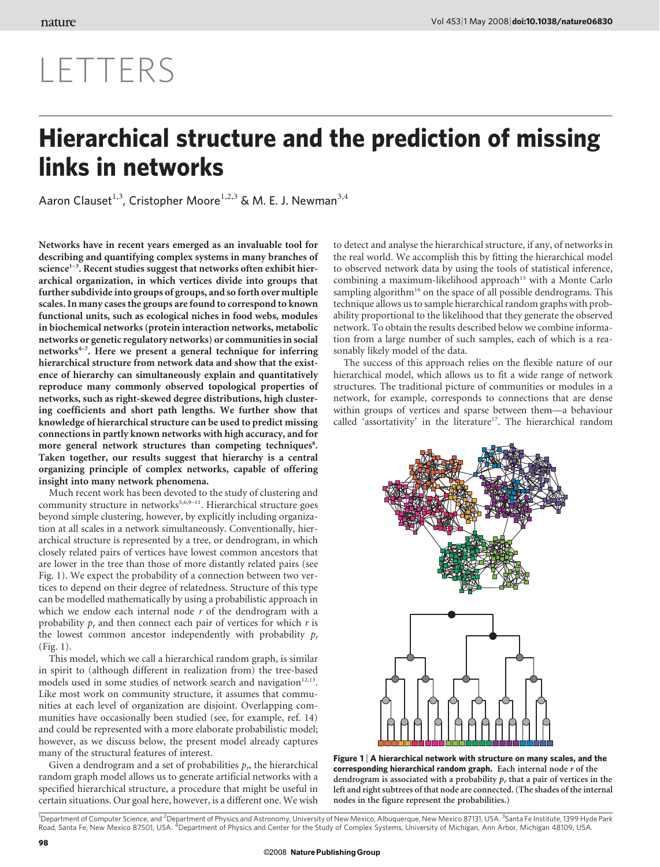## LETTERS

## Hierarchical structure and the prediction of missing links in networks

Aaron Clauset<sup>1,3</sup>, Cristopher Moore<sup>1,2,3</sup> & M. E. J. Newman<sup>3,4</sup>

Networks have in recent years emerged as an invaluable tool for describing and quantifying complex systems in many branches of science<sup> $1-3$ </sup>. Recent studies suggest that networks often exhibit hierarchical organization, in which vertices divide into groups that further subdivide into groups of groups, and so forth over multiple scales. In many cases the groups are found to correspond to known functional units, such as ecological niches in food webs, modules in biochemical networks (protein interaction networks, metabolic networks or genetic regulatory networks) or communities in social networks $4-7$ . Here we present a general technique for inferring hierarchical structure from network data and show that the existence of hierarchy can simultaneously explain and quantitatively reproduce many commonly observed topological properties of networks, such as right-skewed degree distributions, high clustering coefficients and short path lengths. We further show that knowledge of hierarchical structure can be used to predict missing connections in partly known networks with high accuracy, and for more general network structures than competing techniques<sup>8</sup>. Taken together, our results suggest that hierarchy is a central organizing principle of complex networks, capable of offering insight into many network phenomena.

Much recent work has been devoted to the study of clustering and community structure in networks<sup>5,6,9-11</sup>. Hierarchical structure goes beyond simple clustering, however, by explicitly including organization at all scales in a network simultaneously. Conventionally, hierarchical structure is represented by a tree, or dendrogram, in which closely related pairs of vertices have lowest common ancestors that are lower in the tree than those of more distantly related pairs (see Fig. 1). We expect the probability of a connection between two vertices to depend on their degree of relatedness. Structure of this type can be modelled mathematically by using a probabilistic approach in which we endow each internal node  $r$  of the dendrogram with a probability  $p_r$  and then connect each pair of vertices for which r is the lowest common ancestor independently with probability  $p_r$ (Fig. 1).

This model, which we call a hierarchical random graph, is similar in spirit to (although different in realization from) the tree-based models used in some studies of network search and navigation $12,13$ . Like most work on community structure, it assumes that communities at each level of organization are disjoint. Overlapping communities have occasionally been studied (see, for example, ref. 14) and could be represented with a more elaborate probabilistic model; however, as we discuss below, the present model already captures many of the structural features of interest.

Given a dendrogram and a set of probabilities  $p<sub>p</sub>$ , the hierarchical random graph model allows us to generate artificial networks with a specified hierarchical structure, a procedure that might be useful in certain situations. Our goal here, however, is a different one. We wish to detect and analyse the hierarchical structure, if any, of networks in the real world. We accomplish this by fitting the hierarchical model to observed network data by using the tools of statistical inference, combining a maximum-likelihood approach<sup>15</sup> with a Monte Carlo sampling algorithm<sup>16</sup> on the space of all possible dendrograms. This technique allows us to sample hierarchical random graphs with probability proportional to the likelihood that they generate the observed network. To obtain the results described below we combine information from a large number of such samples, each of which is a reasonably likely model of the data.

The success of this approach relies on the flexible nature of our hierarchical model, which allows us to fit a wide range of network structures. The traditional picture of communities or modules in a network, for example, corresponds to connections that are dense within groups of vertices and sparse between them—a behaviour called 'assortativity' in the literature<sup>17</sup>. The hierarchical random



Figure 1  $\vert$  A hierarchical network with structure on many scales, and the corresponding hierarchical random graph. Each internal node  $r$  of the dendrogram is associated with a probability  $p_r$  that a pair of vertices in the left and right subtrees of that node are connected. (The shades of the internal nodes in the figure represent the probabilities.)

<sup>1</sup>Department of Computer Science, and <sup>2</sup>Department of Physics and Astronomy, University of New Mexico, Albuquerque, New Mexico 87131, USA. <sup>3</sup>Santa Fe Institute, 1399 Hyde Park Road, Santa Fe, New Mexico 87501, USA. <sup>4</sup>Department of Physics and Center for the Study of Complex Systems, University of Michigan, Ann Arbor, Michigan 48109, USA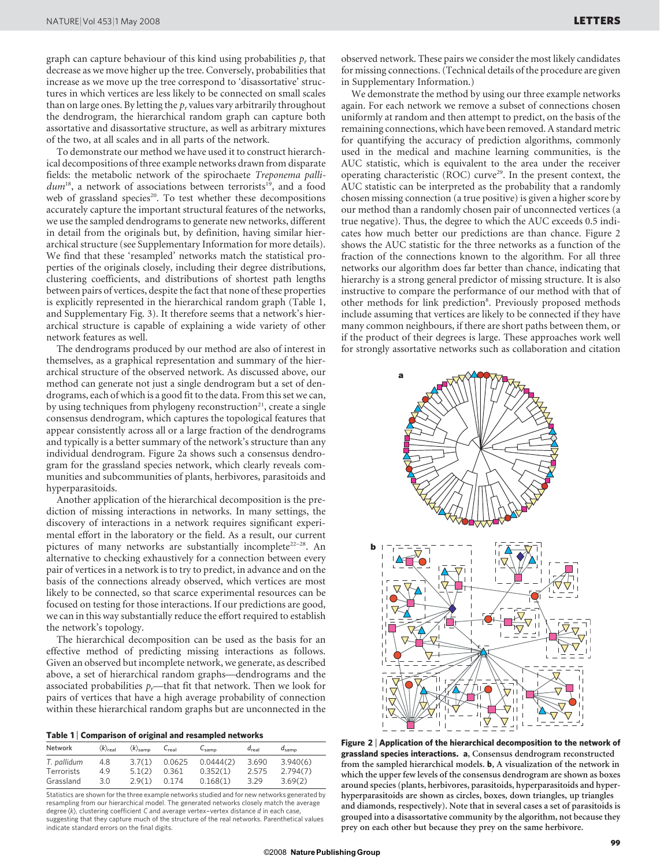graph can capture behaviour of this kind using probabilities  $p_r$  that decrease as we move higher up the tree. Conversely, probabilities that increase as we move up the tree correspond to 'disassortative' structures in which vertices are less likely to be connected on small scales than on large ones. By letting the  $p_r$  values vary arbitrarily throughout the dendrogram, the hierarchical random graph can capture both assortative and disassortative structure, as well as arbitrary mixtures of the two, at all scales and in all parts of the network.

To demonstrate our method we have used it to construct hierarchical decompositions of three example networks drawn from disparate fields: the metabolic network of the spirochaete Treponema palli $dum<sup>18</sup>$ , a network of associations between terrorists<sup>19</sup>, and a food web of grassland species<sup>20</sup>. To test whether these decompositions accurately capture the important structural features of the networks, we use the sampled dendrograms to generate new networks, different in detail from the originals but, by definition, having similar hierarchical structure (see Supplementary Information for more details). We find that these 'resampled' networks match the statistical properties of the originals closely, including their degree distributions, clustering coefficients, and distributions of shortest path lengths between pairs of vertices, despite the fact that none of these properties is explicitly represented in the hierarchical random graph (Table 1, and Supplementary Fig. 3). It therefore seems that a network's hierarchical structure is capable of explaining a wide variety of other network features as well.

The dendrograms produced by our method are also of interest in themselves, as a graphical representation and summary of the hierarchical structure of the observed network. As discussed above, our method can generate not just a single dendrogram but a set of dendrograms, each of which is a good fit to the data. From this set we can, by using techniques from phylogeny reconstruction<sup>21</sup>, create a single consensus dendrogram, which captures the topological features that appear consistently across all or a large fraction of the dendrograms and typically is a better summary of the network's structure than any individual dendrogram. Figure 2a shows such a consensus dendrogram for the grassland species network, which clearly reveals communities and subcommunities of plants, herbivores, parasitoids and hyperparasitoids.

Another application of the hierarchical decomposition is the prediction of missing interactions in networks. In many settings, the discovery of interactions in a network requires significant experimental effort in the laboratory or the field. As a result, our current pictures of many networks are substantially incomplete<sup>22-28</sup>. An alternative to checking exhaustively for a connection between every pair of vertices in a network is to try to predict, in advance and on the basis of the connections already observed, which vertices are most likely to be connected, so that scarce experimental resources can be focused on testing for those interactions. If our predictions are good, we can in this way substantially reduce the effort required to establish the network's topology.

The hierarchical decomposition can be used as the basis for an effective method of predicting missing interactions as follows. Given an observed but incomplete network, we generate, as described above, a set of hierarchical random graphs—dendrograms and the associated probabilities  $p_r$ —that fit that network. Then we look for pairs of vertices that have a high average probability of connection within these hierarchical random graphs but are unconnected in the

|  |  |  | Table 1   Comparison of original and resampled networks |  |
|--|--|--|---------------------------------------------------------|--|
|--|--|--|---------------------------------------------------------|--|

| Network     | $\langle k \rangle_{\text{real}}$ | $\langle k \rangle$ samp | $C_{\text{real}}$ | $C_{\text{samp}}$ | $d_{\text{real}}$ | $d_{\text{samn}}$ |
|-------------|-----------------------------------|--------------------------|-------------------|-------------------|-------------------|-------------------|
| T. pallidum | 4.8                               | 3.7(1)                   | 0.0625            | 0.0444(2)         | 3.690             | 3.940(6)          |
| Terrorists  | 4.9                               | 5.1(2)                   | 0.361             | 0.352(1)          | 2.575             | 2.794(7)          |
| Grassland   | 3.0                               | 2.9(1)                   | 0.174             | 0.168(1)          | 3.29              | 3.69(2)           |

Statistics are shown for the three example networks studied and for new networks generated by resampling from our hierarchical model. The generated networks closely match the average degree  $\langle k \rangle$ , clustering coefficient C and average vertex-vertex distance  $d$  in each case, suggesting that they capture much of the structure of the real networks. Parenthetical values indicate standard errors on the final digits.

observed network. These pairs we consider the most likely candidates for missing connections. (Technical details of the procedure are given in Supplementary Information.)

We demonstrate the method by using our three example networks again. For each network we remove a subset of connections chosen uniformly at random and then attempt to predict, on the basis of the remaining connections, which have been removed. A standard metric for quantifying the accuracy of prediction algorithms, commonly used in the medical and machine learning communities, is the AUC statistic, which is equivalent to the area under the receiver operating characteristic (ROC) curve<sup>29</sup>. In the present context, the AUC statistic can be interpreted as the probability that a randomly chosen missing connection (a true positive) is given a higher score by our method than a randomly chosen pair of unconnected vertices (a true negative). Thus, the degree to which the AUC exceeds 0.5 indicates how much better our predictions are than chance. Figure 2 shows the AUC statistic for the three networks as a function of the fraction of the connections known to the algorithm. For all three networks our algorithm does far better than chance, indicating that hierarchy is a strong general predictor of missing structure. It is also instructive to compare the performance of our method with that of other methods for link prediction<sup>8</sup>. Previously proposed methods include assuming that vertices are likely to be connected if they have many common neighbours, if there are short paths between them, or if the product of their degrees is large. These approaches work well for strongly assortative networks such as collaboration and citation



Figure 2 <sup>|</sup> Application of the hierarchical decomposition to the network of grassland species interactions. a, Consensus dendrogram reconstructed from the sampled hierarchical models. b, A visualization of the network in which the upper few levels of the consensus dendrogram are shown as boxes around species (plants, herbivores, parasitoids, hyperparasitoids and hyperhyperparasitoids are shown as circles, boxes, down triangles, up triangles and diamonds, respectively). Note that in several cases a set of parasitoids is grouped into a disassortative community by the algorithm, not because they prey on each other but because they prey on the same herbivore.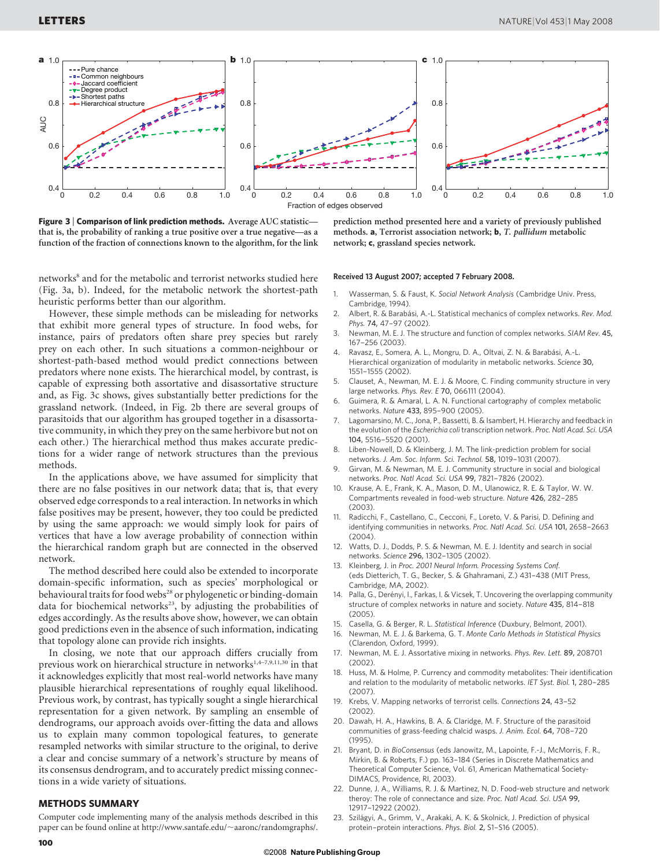

Figure 3 | Comparison of link prediction methods. Average AUC statisticthat is, the probability of ranking a true positive over a true negative—as a function of the fraction of connections known to the algorithm, for the link

prediction method presented here and a variety of previously published methods. a, Terrorist association network; b, T. pallidum metabolic network; c, grassland species network.

networks<sup>8</sup> and for the metabolic and terrorist networks studied here (Fig. 3a, b). Indeed, for the metabolic network the shortest-path heuristic performs better than our algorithm.

However, these simple methods can be misleading for networks that exhibit more general types of structure. In food webs, for instance, pairs of predators often share prey species but rarely prey on each other. In such situations a common-neighbour or shortest-path-based method would predict connections between predators where none exists. The hierarchical model, by contrast, is capable of expressing both assortative and disassortative structure and, as Fig. 3c shows, gives substantially better predictions for the grassland network. (Indeed, in Fig. 2b there are several groups of parasitoids that our algorithm has grouped together in a disassortative community, in which they prey on the same herbivore but not on each other.) The hierarchical method thus makes accurate predictions for a wider range of network structures than the previous methods.

In the applications above, we have assumed for simplicity that there are no false positives in our network data; that is, that every observed edge corresponds to a real interaction. In networks in which false positives may be present, however, they too could be predicted by using the same approach: we would simply look for pairs of vertices that have a low average probability of connection within the hierarchical random graph but are connected in the observed network.

The method described here could also be extended to incorporate domain-specific information, such as species' morphological or behavioural traits for food webs<sup>28</sup> or phylogenetic or binding-domain data for biochemical networks<sup>23</sup>, by adjusting the probabilities of edges accordingly. As the results above show, however, we can obtain good predictions even in the absence of such information, indicating that topology alone can provide rich insights.

In closing, we note that our approach differs crucially from previous work on hierarchical structure in networks<sup>1,4-7,9,11,30</sup> in that it acknowledges explicitly that most real-world networks have many plausible hierarchical representations of roughly equal likelihood. Previous work, by contrast, has typically sought a single hierarchical representation for a given network. By sampling an ensemble of dendrograms, our approach avoids over-fitting the data and allows us to explain many common topological features, to generate resampled networks with similar structure to the original, to derive a clear and concise summary of a network's structure by means of its consensus dendrogram, and to accurately predict missing connections in a wide variety of situations.

## METHODS SUMMARY

Computer code implementing many of the analysis methods described in this paper can be found online at [http://www.santafe.edu/](http://www.santafe.edu/~aaronc/randomgraphs)~aaronc/randomgraphs/.

## Received 13 August 2007; accepted 7 February 2008.

- 1. Wasserman, S. & Faust, K. Social Network Analysis (Cambridge Univ. Press, Cambridge, 1994).
- 2. Albert, R. & Barabási, A.-L. Statistical mechanics of complex networks. Rev. Mod. Phys. 74, 47–97 (2002).
- 3. Newman, M. E. J. The structure and function of complex networks. SIAM Rev. 45, 167–256 (2003).
- Ravasz, E., Somera, A. L., Mongru, D. A., Oltvai, Z. N. & Barabási, A.-L. Hierarchical organization of modularity in metabolic networks. Science 30, 1551–1555 (2002).
- 5. Clauset, A., Newman, M. E. J. & Moore, C. Finding community structure in very large networks. Phys. Rev. E 70, 066111 (2004).
- 6. Guimera, R. & Amaral, L. A. N. Functional cartography of complex metabolic networks. Nature 433, 895–900 (2005).
- 7. Lagomarsino, M. C., Jona, P., Bassetti, B. & Isambert, H. Hierarchy and feedback in the evolution of the Escherichia coli transcription network. Proc. Natl Acad. Sci. USA 104, 5516–5520 (2001).
- 8. Liben-Nowell, D. & Kleinberg, J. M. The link-prediction problem for social networks. J. Am. Soc. Inform. Sci. Technol. 58, 1019–1031 (2007).
- 9. Girvan, M. & Newman, M. E. J. Community structure in social and biological networks. Proc. Natl Acad. Sci. USA 99, 7821–7826 (2002).
- 10. Krause, A. E., Frank, K. A., Mason, D. M., Ulanowicz, R. E. & Taylor, W. W. Compartments revealed in food-web structure. Nature 426, 282–285 (2003).
- 11. Radicchi, F., Castellano, C., Cecconi, F., Loreto, V. & Parisi, D. Defining and identifying communities in networks. Proc. Natl Acad. Sci. USA 101, 2658–2663  $(2004)$
- 12. Watts, D. J., Dodds, P. S. & Newman, M. E. J. Identity and search in social networks. Science 296, 1302–1305 (2002).
- 13. Kleinberg, J. in Proc. 2001 Neural Inform. Processing Systems Conf. (eds Dietterich, T. G., Becker, S. & Ghahramani, Z.) 431–438 (MIT Press, Cambridge, MA, 2002).
- 14. Palla, G., Derényi, I., Farkas, I. & Vicsek, T. Uncovering the overlapping community structure of complex networks in nature and society. Nature 435, 814–818 (2005).
- 15. Casella, G. & Berger, R. L. Statistical Inference (Duxbury, Belmont, 2001).
- 16. Newman, M. E. J. & Barkema, G. T. Monte Carlo Methods in Statistical Physics (Clarendon, Oxford, 1999).
- 17. Newman, M. E. J. Assortative mixing in networks. Phys. Rev. Lett. 89, 208701 (2002).
- 18. Huss, M. & Holme, P. Currency and commodity metabolites: Their identification and relation to the modularity of metabolic networks. IET Syst. Biol. 1, 280–285 (2007).
- 19. Krebs, V. Mapping networks of terrorist cells. Connections 24, 43–52 (2002).
- 20. Dawah, H. A., Hawkins, B. A. & Claridge, M. F. Structure of the parasitoid communities of grass-feeding chalcid wasps. J. Anim. Ecol. 64, 708–720 (1995).
- 21. Bryant, D. in BioConsensus (eds Janowitz, M., Lapointe, F.-J., McMorris, F. R., Mirkin, B. & Roberts, F.) pp. 163–184 (Series in Discrete Mathematics and Theoretical Computer Science, Vol. 61, American Mathematical Society-DIMACS, Providence, RI, 2003).
- 22. Dunne, J. A., Williams, R. J. & Martinez, N. D. Food-web structure and network theroy: The role of connectance and size. Proc. Natl Acad. Sci. USA 99, 12917–12922 (2002).
- 23. Szilágyi, A., Grimm, V., Arakaki, A. K. & Skolnick, J. Prediction of physical protein–protein interactions. Phys. Biol. 2, S1–S16 (2005).